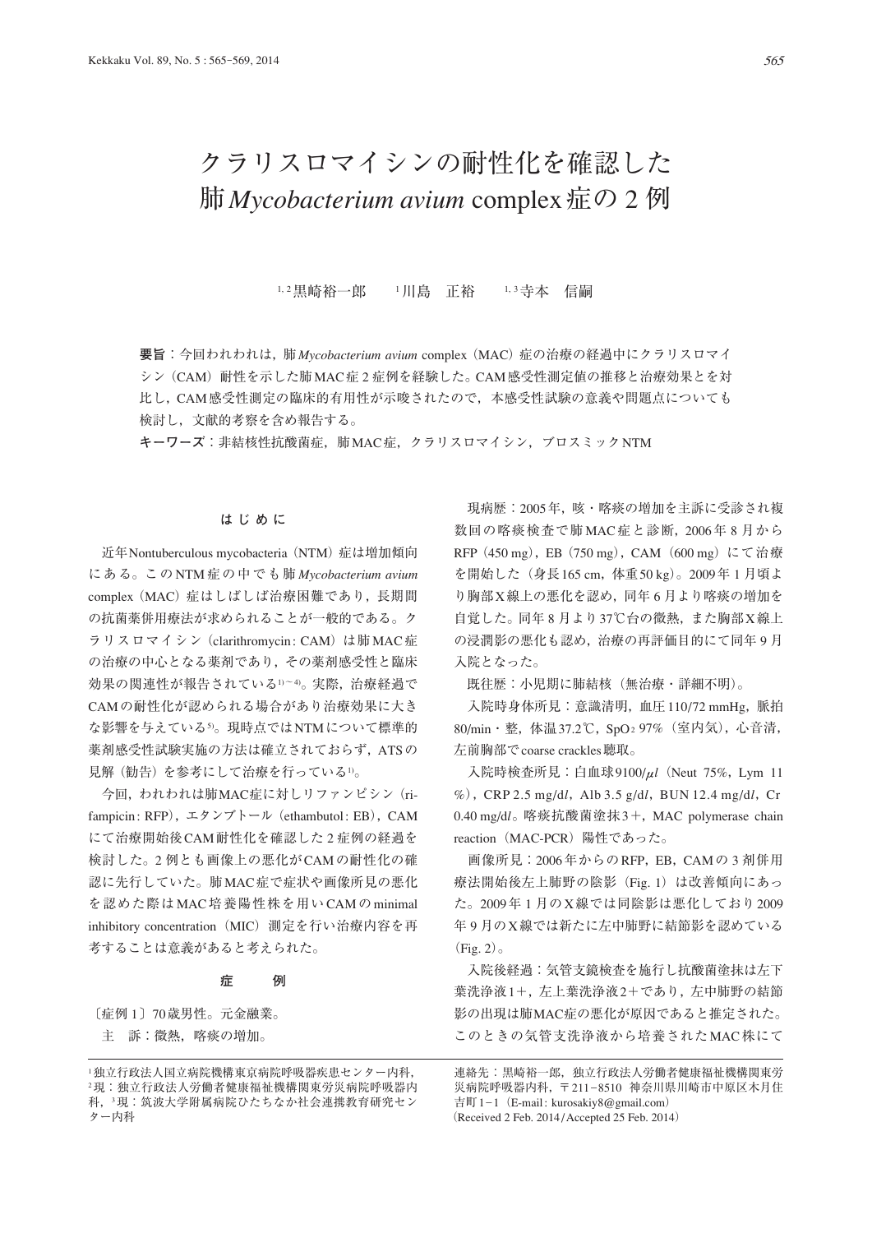# クラリスロマイシンの耐性化を確認した 肺*Mycobacterium avium* complex症の 2 例

1, 2黒崎裕一郎 1川島 正裕 1, 3寺本 信嗣

**要旨**:今回われわれは,肺*Mycobacterium avium* complex(MAC)症の治療の経過中にクラリスロマイ シン (CAM) 耐性を示した肺MAC症2症例を経験した。CAM感受性測定値の推移と治療効果とを対 比し,CAM感受性測定の臨床的有用性が示唆されたので,本感受性試験の意義や問題点についても 検討し,文献的考察を含め報告する。

**キーワーズ**:非結核性抗酸菌症,肺MAC症,クラリスロマイシン,ブロスミックNTM

### **はじめに**

近年Nontuberculous mycobacteria (NTM) 症は増加傾向 にある。この NTM 症の中でも肺 *Mycobacterium avium* complex (MAC)症はしばしば治療困難であり、長期間 の抗菌薬併用療法が求められることが一般的である。ク ラリスロマイシン (clarithromycin: CAM) は肺 MAC症 の治療の中心となる薬剤であり,その薬剤感受性と臨床 効果の関連性が報告されている1)~4)。実際,治療経過で CAMの耐性化が認められる場合があり治療効果に大き な影響を与えている5)。現時点ではNTMについて標準的 薬剤感受性試験実施の方法は確立されておらず, ATSの 見解(勧告)を参考にして治療を行っている1)。

今回,われわれは肺MAC症に対しリファンピシン(rifampicin: RFP), エタンブトール (ethambutol: EB), CAM にて治療開始後CAM耐性化を確認した 2 症例の経過を 検討した。2 例とも画像上の悪化がCAMの耐性化の確 認に先行していた。肺MAC症で症状や画像所見の悪化 を認めた際はMAC培養陽性株を用いCAMのminimal inhibitory concentration (MIC) 測定を行い治療内容を再 考することは意義があると考えられた。

#### **症 例**

〔症例 1〕70歳男性。元金融業。 主 訴:微熱,喀痰の増加。

現病歴: 2005年,咳・喀痰の増加を主訴に受診され複 数回の喀痰検査で肺MAC症と診断,2006年 8 月から RFP (450 mg), EB (750 mg), CAM (600 mg) にて治療 を開始した(身長165 cm,体重50 kg)。2009年 1 月頃よ り胸部X線上の悪化を認め,同年 6 月より喀痰の増加を 自覚した。同年 8 月より37℃台の微熱,また胸部X線上 の浸潤影の悪化も認め,治療の再評価目的にて同年 9 月 入院となった。

既往歴:小児期に肺結核(無治療・詳細不明)。

 入院時身体所見:意識清明,血圧110/72 mmHg,脈拍 80/min・整,体温37.2℃,SpO2 97%(室内気),心音清, 左前胸部でcoarse crackles聴取。

 入院時検査所見:白血球9100/μ*l*(Neut 75%,Lym 11 %), CRP 2.5 mg/dl, Alb 3.5 g/dl, BUN 12.4 mg/dl, Cr 0.40 mg/d*l*。喀痰抗酸菌塗抹3+,MAC polymerase chain reaction (MAC-PCR) 陽性であった。

 画像所見:2006年からのRFP,EB,CAMの 3 剤併用 療法開始後左上肺野の陰影 (Fig. 1) は改善傾向にあっ た。2009年 1 月のX線では同陰影は悪化しており2009 年 9 月のX線では新たに左中肺野に結節影を認めている  $(Fig. 2)$ 

入院後経過:気管支鏡検査を施行し抗酸菌塗抹は左下 葉洗浄液1+,左上葉洗浄液2+であり,左中肺野の結節 影の出現は肺MAC症の悪化が原因であると推定された。 このときの気管支洗浄液から培養されたMAC株にて

連絡先:黒崎裕一郎,独立行政法人労働者健康福祉機構関東労 災病院呼吸器内科,〒 211\_8510 神奈川県川崎市中原区木月住 吉町 1-1 (E-mail: kurosakiy8@gmail.com) (Received 2 Feb. 2014 / Accepted 25 Feb. 2014)

<sup>1</sup>独立行政法人国立病院機構東京病院呼吸器疾患センター内科, <sup>2</sup>現:独立行政法人労働者健康福祉機構関東労災病院呼吸器内 科,<sup>3</sup>現:筑波大学附属病院ひたちなか社会連携教育研究セン ター内科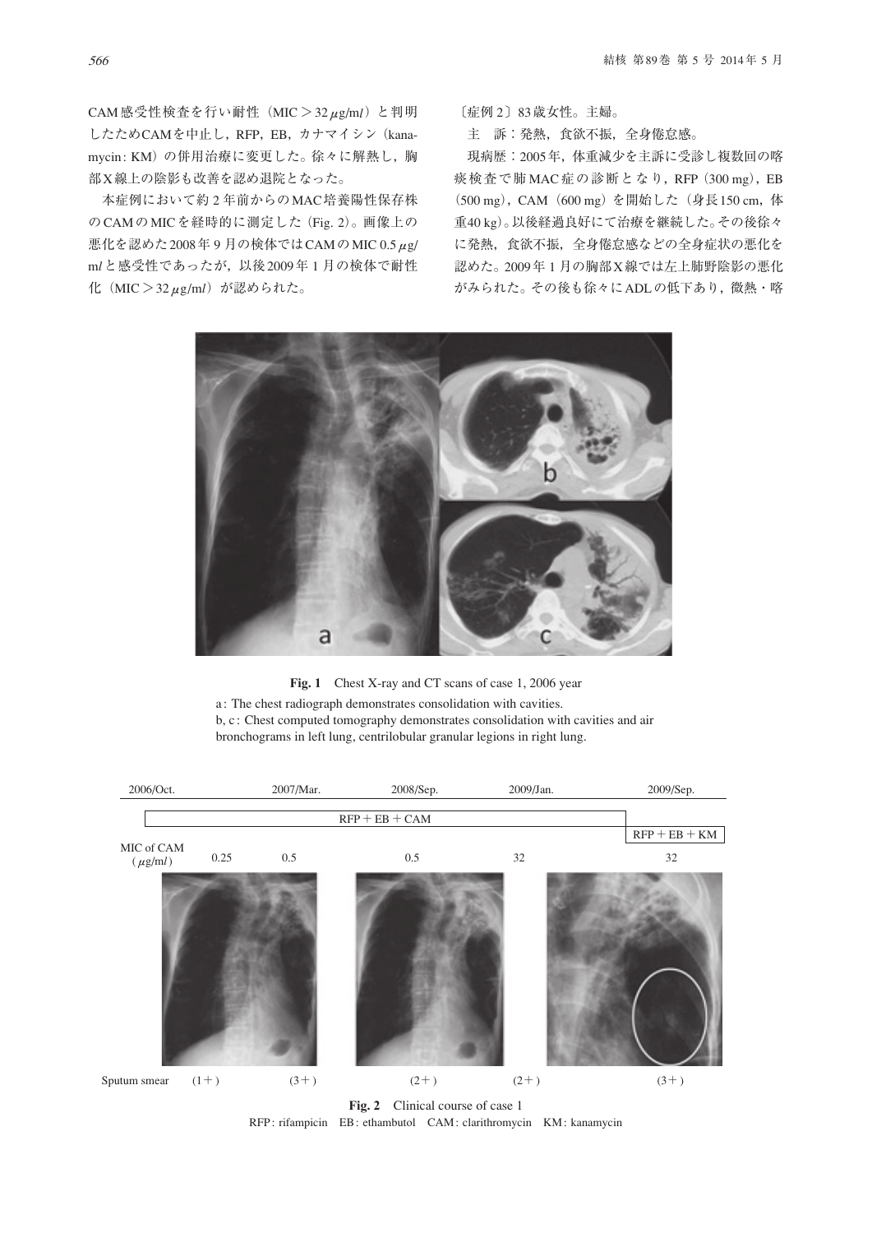CAM感受性検査を行い耐性(MIC > 32μg/m*l*)と判明 したためCAMを中止し,RFP,EB,カナマイシン(kanamycin: KM)の併用治療に変更した。徐々に解熱し、胸 部X線上の陰影も改善を認め退院となった。

 本症例において約 2 年前からのMAC培養陽性保存株 のCAMのMICを経時的に測定した(Fig. 2)。画像上の 悪化を認めた2008年 9 月の検体ではCAMのMIC 0.5μg/ m*l*と感受性であったが,以後2009年 1 月の検体で耐性 化(MIC > 32μg/m*l*)が認められた。

〔症例 2〕83歳女性。主婦。

主 訴:発熱,食欲不振,全身倦怠感。

 現病歴:2005年,体重減少を主訴に受診し複数回の喀 痰検査で肺 MAC 症の診断となり,RFP(300 mg),EB (500 mg), CAM (600 mg) を開始した (身長150 cm, 体 重40 kg)。以後経過良好にて治療を継続した。その後徐々 に発熱,食欲不振,全身倦怠感などの全身症状の悪化を 認めた。2009年 1 月の胸部X線では左上肺野陰影の悪化 がみられた。その後も徐々にADLの低下あり,微熱・喀



Fig. 1 Chest X-ray and CT scans of case 1, 2006 year

a : The chest radiograph demonstrates consolidation with cavities. b, c : Chest computed tomography demonstrates consolidation with cavities and air bronchograms in left lung, centrilobular granular legions in right lung.



RFP: rifampicin EB: ethambutol CAM: clarithromycin KM: kanamycin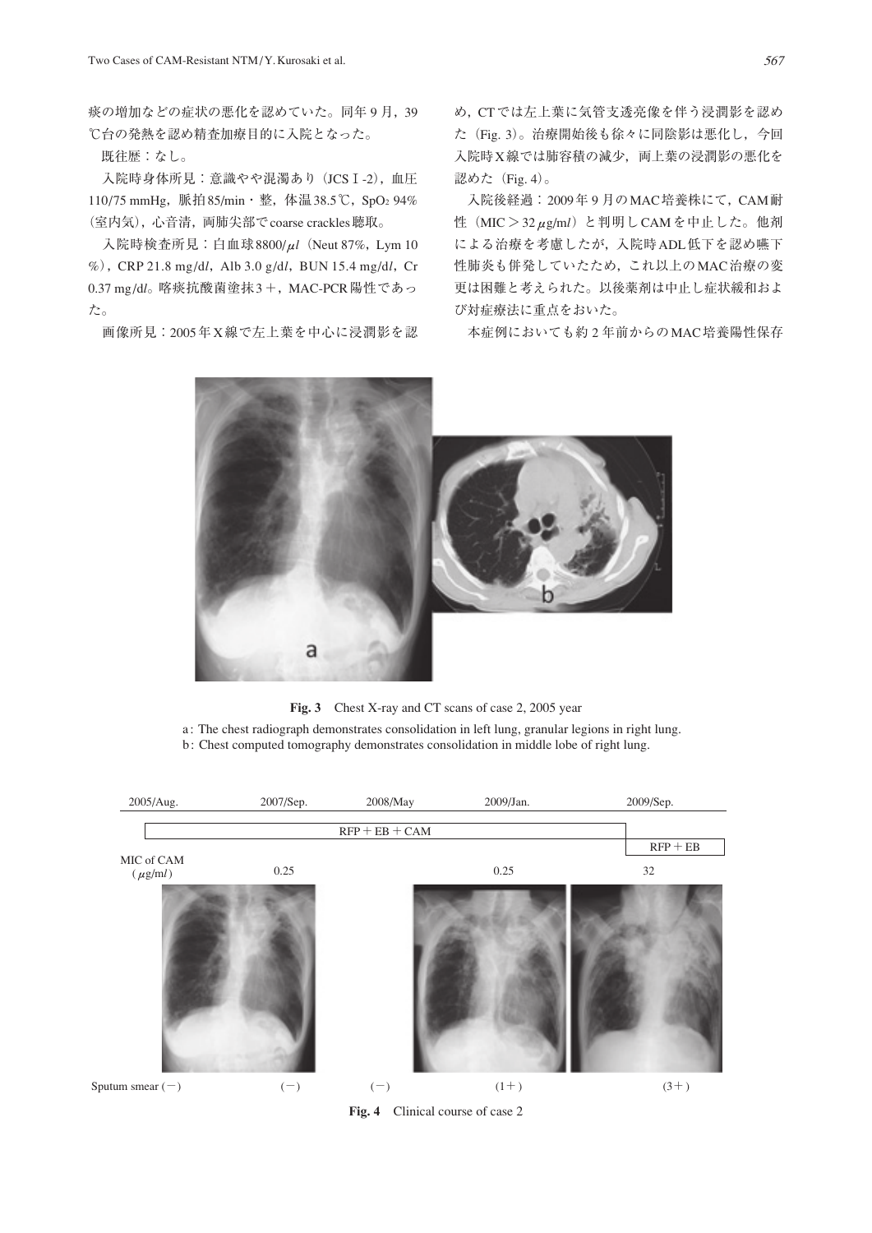痰の増加などの症状の悪化を認めていた。同年 9 月,39 ℃台の発熱を認め精査加療目的に入院となった。

既往歴:なし。

入院時身体所見: 意識やや混濁あり (JCS I-2), 血圧 110/75 mmHg, 脈拍85/min · 整, 体温38.5℃, SpO2 94% (室内気),心音清,両肺尖部でcoarse crackles聴取。

 入院時検査所見:白血球8800/μ*l*(Neut 87%,Lym 10 %), CRP 21.8 mg/d*l*, Alb 3.0 g/d*l*, BUN 15.4 mg/d*l*, Cr 0.37 mg/d*l*。喀痰抗酸菌塗抹3 +,MAC-PCR陽性であっ た。

画像所見:2005年X線で左上葉を中心に浸潤影を認

め,CTでは左上葉に気管支透亮像を伴う浸潤影を認め た(Fig. 3)。治療開始後も徐々に同陰影は悪化し,今回 入院時X線では肺容積の減少, 両上葉の浸潤影の悪化を 認めた (Fig. 4)。

 入院後経過: 2009年 9 月のMAC培養株にて,CAM耐 性(MIC > 32μg/m*l*)と判明しCAMを中止した。他剤 による治療を考慮したが,入院時ADL低下を認め嚥下 性肺炎も併発していたため,これ以上のMAC治療の変 更は困難と考えられた。以後薬剤は中止し症状緩和およ び対症療法に重点をおいた。

本症例においても約 2 年前からのMAC培養陽性保存



**Fig. 3** Chest X-ray and CT scans of case 2, 2005 year

a : The chest radiograph demonstrates consolidation in left lung, granular legions in right lung. b : Chest computed tomography demonstrates consolidation in middle lobe of right lung.



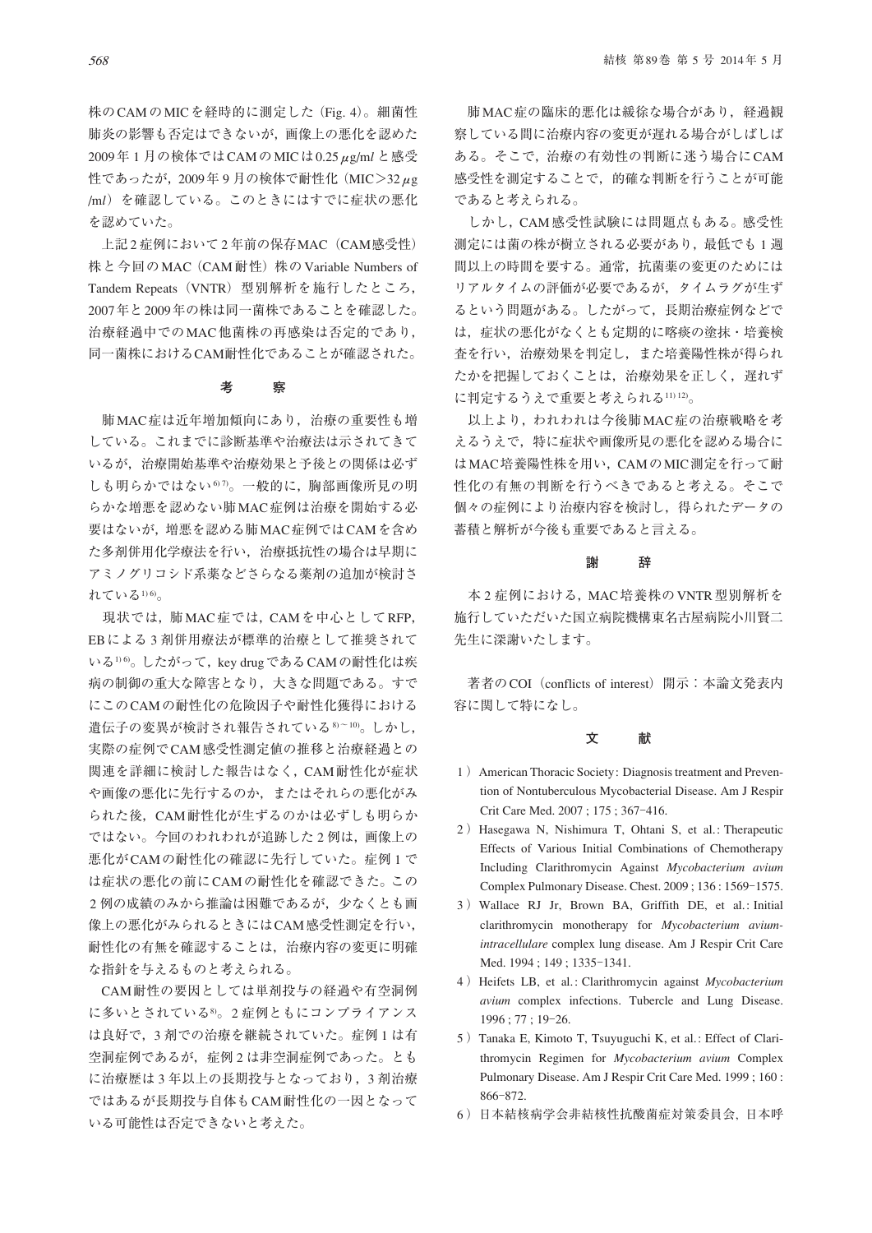株のCAMのMICを経時的に測定した(Fig. 4)。細菌性 肺炎の影響も否定はできないが,画像上の悪化を認めた 2009年 1 月の検体ではCAMのMICは0.25μg/m*l* と感受 性であったが, 2009年9月の検体で耐性化 (MIC>32 $\mu$ g /m*l*)を確認している。このときにはすでに症状の悪化 を認めていた。

上記2症例において2年前の保存MAC (CAM感受性) 株と今回のMAC(CAM耐性)株のVariable Numbers of Tandem Repeats (VNTR) 型別解析を施行したところ, 2007年と2009年の株は同一菌株であることを確認した。 治療経過中でのMAC他菌株の再感染は否定的であり, 同一菌株におけるCAM耐性化であることが確認された。

#### **考 察**

 肺MAC症は近年増加傾向にあり,治療の重要性も増 している。これまでに診断基準や治療法は示されてきて いるが,治療開始基準や治療効果と予後との関係は必ず しも明らかではない67。一般的に、胸部画像所見の明 らかな増悪を認めない肺MAC症例は治療を開始する必 要はないが,増悪を認める肺MAC症例ではCAMを含め た多剤併用化学療法を行い,治療抵抗性の場合は早期に アミノグリコシド系薬などさらなる薬剤の追加が検討さ れている1)の。

 現状では,肺MAC症では,CAMを中心としてRFP, EBによる 3 剤併用療法が標準的治療として推奨されて いる1) 6。したがって, key drug である CAMの耐性化は疾 病の制御の重大な障害となり,大きな問題である。すで にこのCAMの耐性化の危険因子や耐性化獲得における 遺伝子の変異が検討され報告されている8)~10)。しかし, 実際の症例でCAM感受性測定値の推移と治療経過との 関連を詳細に検討した報告はなく,CAM耐性化が症状 や画像の悪化に先行するのか,またはそれらの悪化がみ られた後、CAM耐性化が生ずるのかは必ずしも明らか ではない。今回のわれわれが追跡した 2 例は,画像上の 悪化がCAMの耐性化の確認に先行していた。症例 1 で は症状の悪化の前にCAMの耐性化を確認できた。この 2 例の成績のみから推論は困難であるが,少なくとも画 像上の悪化がみられるときにはCAM感受性測定を行い, 耐性化の有無を確認することは,治療内容の変更に明確 な指針を与えるものと考えられる。

CAM耐性の要因としては単剤投与の経過や有空洞例 に多いとされている8)。2 症例ともにコンプライアンス は良好で,3 剤での治療を継続されていた。症例 1 は有 空洞症例であるが,症例 2 は非空洞症例であった。とも に治療歴は 3 年以上の長期投与となっており,3 剤治療 ではあるが長期投与自体もCAM耐性化の一因となって いる可能性は否定できないと考えた。

 肺MAC症の臨床的悪化は緩徐な場合があり,経過観 察している間に治療内容の変更が遅れる場合がしばしば ある。そこで,治療の有効性の判断に迷う場合にCAM 感受性を測定することで,的確な判断を行うことが可能 であると考えられる。

 しかし,CAM感受性試験には問題点もある。感受性 測定には菌の株が樹立される必要があり,最低でも 1 週 間以上の時間を要する。通常,抗菌薬の変更のためには リアルタイムの評価が必要であるが,タイムラグが生ず るという問題がある。したがって,長期治療症例などで は,症状の悪化がなくとも定期的に喀痰の塗抹・培養検 査を行い,治療効果を判定し,また培養陽性株が得られ たかを把握しておくことは,治療効果を正しく,遅れず に判定するうえで重要と考えられる11) 12)。

以上より、われわれは今後肺MAC症の治療戦略を考 えるうえで,特に症状や画像所見の悪化を認める場合に はMAC培養陽性株を用い,CAMのMIC測定を行って耐 性化の有無の判断を行うべきであると考える。そこで 個々の症例により治療内容を検討し,得られたデータの 蓄積と解析が今後も重要であると言える。

#### **謝 辞**

本2症例における,MAC培養株のVNTR型別解析を 施行していただいた国立病院機構東名古屋病院小川賢二 先生に深謝いたします。

著者のCOI (conflicts of interest) 開示:本論文発表内 容に関して特になし。

#### **文 献**

- 1 ) American Thoracic Society: Diagnosis treatment and Prevention of Nontuberculous Mycobacterial Disease. Am J Respir Crit Care Med. 2007; 175; 367-416.
- 2 ) Hasegawa N, Nishimura T, Ohtani S, et al.: Therapeutic Effects of Various Initial Combinations of Chemotherapy Including Clarithromycin Against *Mycobacterium avium* Complex Pulmonary Disease. Chest. 2009; 136: 1569-1575.
- 3 ) Wallace RJ Jr, Brown BA, Griffith DE, et al.: Initial clarithromycin monotherapy for *Mycobacterium aviumintracellulare* complex lung disease. Am J Respir Crit Care Med. 1994; 149; 1335-1341.
- 4 ) Heifets LB, et al.: Clarithromycin against *Mycobacterium avium* complex infections. Tubercle and Lung Disease. 1996 ; 77 ; 19‒26.
- 5 ) Tanaka E, Kimoto T, Tsuyuguchi K, et al.: Effect of Clarithromycin Regimen for *Mycobacterium avium* Complex Pulmonary Disease. Am J Respir Crit Care Med. 1999 ; 160 : 866‒872.
- 6 )日本結核病学会非結核性抗酸菌症対策委員会, 日本呼